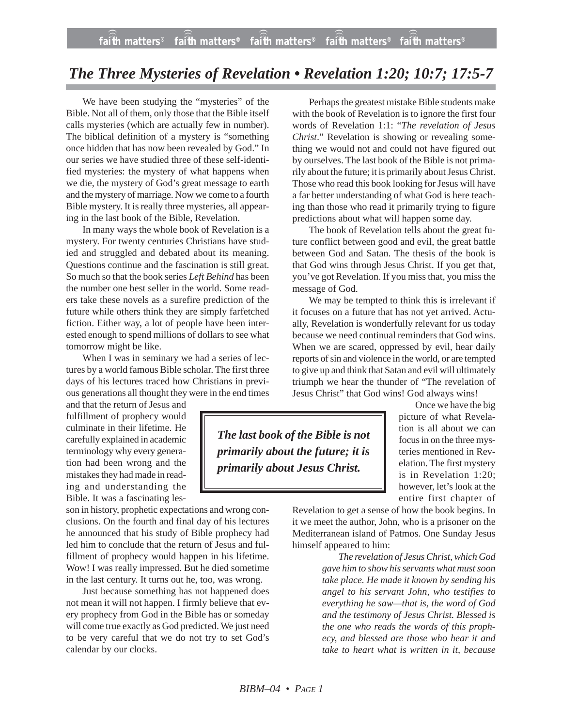## *The Three Mysteries of Revelation • Revelation 1:20; 10:7; 17:5-7*

We have been studying the "mysteries" of the Bible. Not all of them, only those that the Bible itself calls mysteries (which are actually few in number). The biblical definition of a mystery is "something once hidden that has now been revealed by God." In our series we have studied three of these self-identified mysteries: the mystery of what happens when we die, the mystery of God's great message to earth and the mystery of marriage. Now we come to a fourth Bible mystery. It is really three mysteries, all appearing in the last book of the Bible, Revelation.

In many ways the whole book of Revelation is a mystery. For twenty centuries Christians have studied and struggled and debated about its meaning. Questions continue and the fascination is still great. So much so that the book series *Left Behind* has been the number one best seller in the world. Some readers take these novels as a surefire prediction of the future while others think they are simply farfetched fiction. Either way, a lot of people have been interested enough to spend millions of dollars to see what tomorrow might be like.

When I was in seminary we had a series of lectures by a world famous Bible scholar. The first three days of his lectures traced how Christians in previous generations all thought they were in the end times

and that the return of Jesus and fulfillment of prophecy would culminate in their lifetime. He carefully explained in academic terminology why every generation had been wrong and the mistakes they had made in reading and understanding the Bible. It was a fascinating les-

son in history, prophetic expectations and wrong conclusions. On the fourth and final day of his lectures he announced that his study of Bible prophecy had led him to conclude that the return of Jesus and fulfillment of prophecy would happen in his lifetime. Wow! I was really impressed. But he died sometime in the last century. It turns out he, too, was wrong.

Just because something has not happened does not mean it will not happen. I firmly believe that every prophecy from God in the Bible has or someday will come true exactly as God predicted. We just need to be very careful that we do not try to set God's calendar by our clocks.

Perhaps the greatest mistake Bible students make with the book of Revelation is to ignore the first four words of Revelation 1:1: "*The revelation of Jesus Christ*." Revelation is showing or revealing something we would not and could not have figured out by ourselves. The last book of the Bible is not primarily about the future; it is primarily about Jesus Christ. Those who read this book looking for Jesus will have a far better understanding of what God is here teaching than those who read it primarily trying to figure predictions about what will happen some day.

The book of Revelation tells about the great future conflict between good and evil, the great battle between God and Satan. The thesis of the book is that God wins through Jesus Christ. If you get that, you've got Revelation. If you miss that, you miss the message of God.

We may be tempted to think this is irrelevant if it focuses on a future that has not yet arrived. Actually, Revelation is wonderfully relevant for us today because we need continual reminders that God wins. When we are scared, oppressed by evil, hear daily reports of sin and violence in the world, or are tempted to give up and think that Satan and evil will ultimately triumph we hear the thunder of "The revelation of Jesus Christ" that God wins! God always wins!

*The last book of the Bible is not primarily about the future; it is primarily about Jesus Christ.*

Once we have the big picture of what Revelation is all about we can focus in on the three mysteries mentioned in Revelation. The first mystery is in Revelation 1:20; however, let's look at the entire first chapter of

Revelation to get a sense of how the book begins. In it we meet the author, John, who is a prisoner on the Mediterranean island of Patmos. One Sunday Jesus himself appeared to him:

> *The revelation of Jesus Christ, which God gave him to show his servants what must soon take place. He made it known by sending his angel to his servant John, who testifies to everything he saw—that is, the word of God and the testimony of Jesus Christ. Blessed is the one who reads the words of this prophecy, and blessed are those who hear it and take to heart what is written in it, because*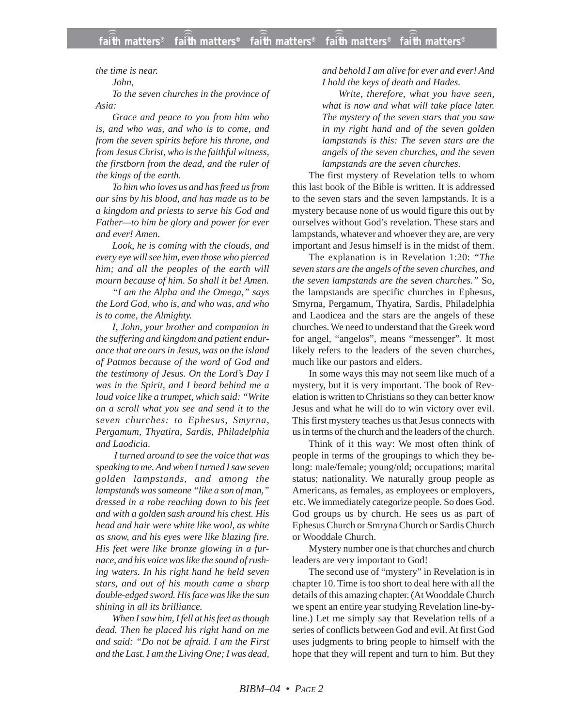*the time is near.*

*John,*

*To the seven churches in the province of Asia:*

*Grace and peace to you from him who is, and who was, and who is to come, and from the seven spirits before his throne, and from Jesus Christ, who is the faithful witness, the firstborn from the dead, and the ruler of the kings of the earth.*

*To him who loves us and has freed us from our sins by his blood, and has made us to be a kingdom and priests to serve his God and Father—to him be glory and power for ever and ever! Amen.*

*Look, he is coming with the clouds, and every eye will see him, even those who pierced him; and all the peoples of the earth will mourn because of him. So shall it be! Amen.*

*"I am the Alpha and the Omega," says the Lord God, who is, and who was, and who is to come, the Almighty.*

*I, John, your brother and companion in the suffering and kingdom and patient endurance that are ours in Jesus, was on the island of Patmos because of the word of God and the testimony of Jesus. On the Lord's Day I was in the Spirit, and I heard behind me a loud voice like a trumpet, which said: "Write on a scroll what you see and send it to the seven churches: to Ephesus, Smyrna, Pergamum, Thyatira, Sardis, Philadelphia and Laodicia.*

*I turned around to see the voice that was speaking to me. And when I turned I saw seven golden lampstands, and among the lampstands was someone "like a son of man," dressed in a robe reaching down to his feet and with a golden sash around his chest. His head and hair were white like wool, as white as snow, and his eyes were like blazing fire. His feet were like bronze glowing in a furnace, and his voice was like the sound of rushing waters. In his right hand he held seven stars, and out of his mouth came a sharp double-edged sword. His face was like the sun shining in all its brilliance.*

*When I saw him, I fell at his feet as though dead. Then he placed his right hand on me and said: "Do not be afraid. I am the First and the Last. I am the Living One; I was dead,* *and behold I am alive for ever and ever! And I hold the keys of death and Hades.*

*Write, therefore, what you have seen, what is now and what will take place later. The mystery of the seven stars that you saw in my right hand and of the seven golden lampstands is this: The seven stars are the angels of the seven churches, and the seven lampstands are the seven churches.*

The first mystery of Revelation tells to whom this last book of the Bible is written. It is addressed to the seven stars and the seven lampstands. It is a mystery because none of us would figure this out by ourselves without God's revelation. These stars and lampstands, whatever and whoever they are, are very important and Jesus himself is in the midst of them.

The explanation is in Revelation 1:20: *"The seven stars are the angels of the seven churches, and the seven lampstands are the seven churches."* So, the lampstands are specific churches in Ephesus, Smyrna, Pergamum, Thyatira, Sardis, Philadelphia and Laodicea and the stars are the angels of these churches. We need to understand that the Greek word for angel, "angelos", means "messenger". It most likely refers to the leaders of the seven churches, much like our pastors and elders.

In some ways this may not seem like much of a mystery, but it is very important. The book of Revelation is written to Christians so they can better know Jesus and what he will do to win victory over evil. This first mystery teaches us that Jesus connects with us in terms of the church and the leaders of the church.

Think of it this way: We most often think of people in terms of the groupings to which they belong: male/female; young/old; occupations; marital status; nationality. We naturally group people as Americans, as females, as employees or employers, etc. We immediately categorize people. So does God. God groups us by church. He sees us as part of Ephesus Church or Smryna Church or Sardis Church or Wooddale Church.

Mystery number one is that churches and church leaders are very important to God!

The second use of "mystery" in Revelation is in chapter 10. Time is too short to deal here with all the details of this amazing chapter. (At Wooddale Church we spent an entire year studying Revelation line-byline.) Let me simply say that Revelation tells of a series of conflicts between God and evil. At first God uses judgments to bring people to himself with the hope that they will repent and turn to him. But they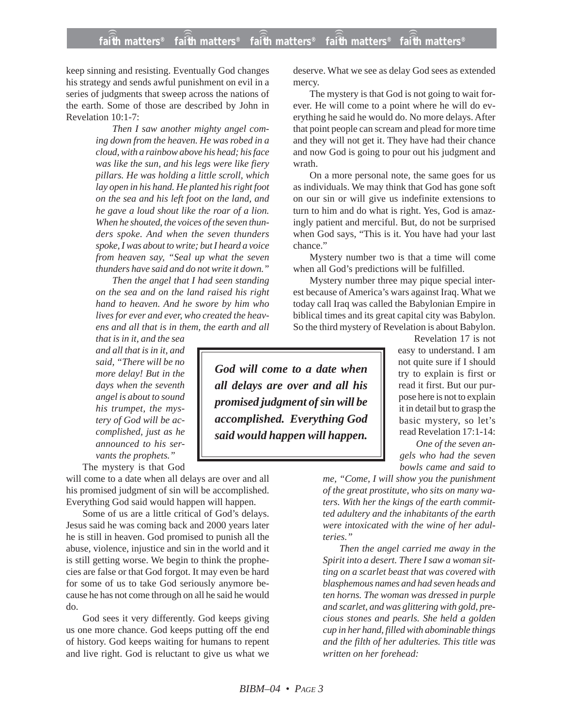keep sinning and resisting. Eventually God changes his strategy and sends awful punishment on evil in a series of judgments that sweep across the nations of the earth. Some of those are described by John in Revelation 10:1-7:

> *Then I saw another mighty angel coming down from the heaven. He was robed in a cloud, with a rainbow above his head; his face was like the sun, and his legs were like fiery pillars. He was holding a little scroll, which lay open in his hand. He planted his right foot on the sea and his left foot on the land, and he gave a loud shout like the roar of a lion. When he shouted, the voices of the seven thunders spoke. And when the seven thunders spoke, I was about to write; but I heard a voice from heaven say, "Seal up what the seven thunders have said and do not write it down."*

> *Then the angel that I had seen standing on the sea and on the land raised his right hand to heaven. And he swore by him who lives for ever and ever, who created the heavens and all that is in them, the earth and all*

*that is in it, and the sea and all that is in it, and said, "There will be no more delay! But in the days when the seventh angel is about to sound his trumpet, the mystery of God will be accomplished, just as he announced to his servants the prophets."*

The mystery is that God

will come to a date when all delays are over and all his promised judgment of sin will be accomplished. Everything God said would happen will happen.

Some of us are a little critical of God's delays. Jesus said he was coming back and 2000 years later he is still in heaven. God promised to punish all the abuse, violence, injustice and sin in the world and it is still getting worse. We begin to think the prophecies are false or that God forgot. It may even be hard for some of us to take God seriously anymore because he has not come through on all he said he would do.

God sees it very differently. God keeps giving us one more chance. God keeps putting off the end of history. God keeps waiting for humans to repent and live right. God is reluctant to give us what we deserve. What we see as delay God sees as extended mercy.

The mystery is that God is not going to wait forever. He will come to a point where he will do everything he said he would do. No more delays. After that point people can scream and plead for more time and they will not get it. They have had their chance and now God is going to pour out his judgment and wrath.

On a more personal note, the same goes for us as individuals. We may think that God has gone soft on our sin or will give us indefinite extensions to turn to him and do what is right. Yes, God is amazingly patient and merciful. But, do not be surprised when God says, "This is it. You have had your last chance."

Mystery number two is that a time will come when all God's predictions will be fulfilled.

Mystery number three may pique special interest because of America's wars against Iraq. What we today call Iraq was called the Babylonian Empire in biblical times and its great capital city was Babylon. So the third mystery of Revelation is about Babylon.

*God will come to a date when all delays are over and all his promised judgment of sin will be accomplished. Everything God said would happen will happen.*

Revelation 17 is not easy to understand. I am not quite sure if I should try to explain is first or read it first. But our purpose here is not to explain it in detail but to grasp the basic mystery, so let's read Revelation 17:1-14:

*One of the seven angels who had the seven bowls came and said to*

*me, "Come, I will show you the punishment of the great prostitute, who sits on many waters. With her the kings of the earth committed adultery and the inhabitants of the earth were intoxicated with the wine of her adulteries."*

*Then the angel carried me away in the Spirit into a desert. There I saw a woman sitting on a scarlet beast that was covered with blasphemous names and had seven heads and ten horns. The woman was dressed in purple and scarlet, and was glittering with gold, precious stones and pearls. She held a golden cup in her hand, filled with abominable things and the filth of her adulteries. This title was written on her forehead:*